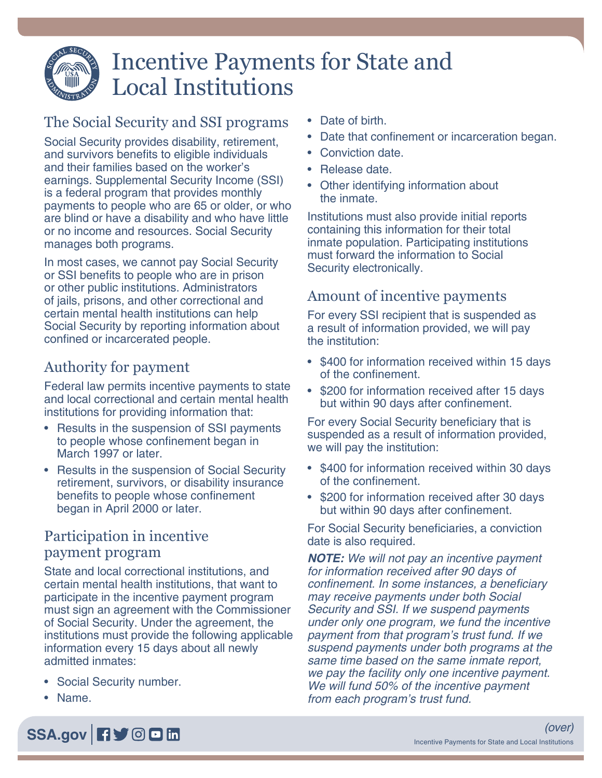

# Incentive Payments for State and Local Institutions

## The Social Security and SSI programs

Social Security provides disability, retirement, and survivors benefits to eligible individuals and their families based on the worker's earnings. Supplemental Security Income (SSI) is a federal program that provides monthly payments to people who are 65 or older, or who are blind or have a disability and who have little or no income and resources. Social Security manages both programs.

In most cases, we cannot pay Social Security or SSI benefits to people who are in prison or other public institutions. Administrators of jails, prisons, and other correctional and certain mental health institutions can help Social Security by reporting information about confined or incarcerated people.

## Authority for payment

Federal law permits incentive payments to state and local correctional and certain mental health institutions for providing information that:

- Results in the suspension of SSI payments to people whose confinement began in March 1997 or later.
- Results in the suspension of Social Security retirement, survivors, or disability insurance benefits to people whose confinement began in April 2000 or later.

#### Participation in incentive payment program

State and local correctional institutions, and certain mental health institutions, that want to participate in the incentive payment program must sign an agreement with the Commissioner of Social Security. Under the agreement, the institutions must provide the following applicable information every 15 days about all newly admitted inmates:

- Social Security number.
- Name.
- Date of birth.
- Date that confinement or incarceration began.
- Conviction date.
- Release date.
- Other identifying information about the inmate.

Institutions must also provide initial reports containing this information for their total inmate population. Participating institutions must forward the information to Social Security electronically.

## Amount of incentive payments

For every SSI recipient that is suspended as a result of information provided, we will pay the institution:

- \$400 for information received within 15 days of the confinement.
- \$200 for information received after 15 days but within 90 days after confinement.

For every Social Security beneficiary that is suspended as a result of information provided, we will pay the institution:

- \$400 for information received within 30 days of the confinement.
- \$200 for information received after 30 days but within 90 days after confinement.

For Social Security beneficiaries, a conviction date is also required.

*NOTE: We will not pay an incentive payment for information received after 90 days of*  confinement. In some instances, a beneficiary may receive payments under both Social Security and SSI. If we suspend payments under only one program, we fund the incentive payment from that program's trust fund. If we suspend payments under both programs at the same time based on the same inmate report, we pay the facility only one incentive payment. We will fund 50% of the incentive payment from each program's trust fund.